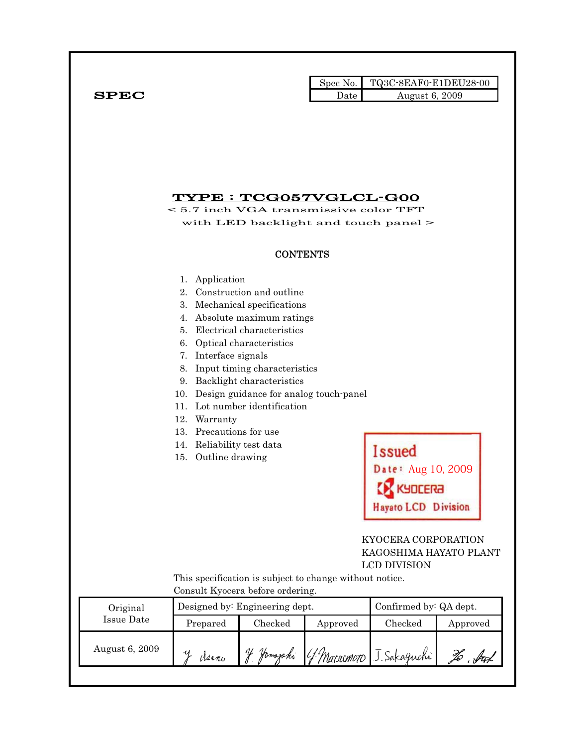|              |      | Spec No.   TQ3C-8EAF0-E1DEU28-00 |
|--------------|------|----------------------------------|
| ${\bf SPEC}$ | Date | August 6, 2009                   |

# TYPE : TCG057VGLCL-G00

< 5.7 inch VGA transmissive color TFT with LED backlight and touch panel  $>$ 

#### **CONTENTS**

#### 1. Application

- 2. Construction and outline
- 3. Mechanical specifications
- 4. Absolute maximum ratings
- 5. Electrical characteristics
- 6. Optical characteristics
- 7. Interface signals
- 8. Input timing characteristics
- 9. Backlight characteristics
- 10. Design guidance for analog touch-panel
- 11. Lot number identification
- 12. Warranty
- 13. Precautions for use
- 14. Reliability test data
- 15. Outline drawing

**Issued** Date: Aug 10, 2009 **CK** KYDCERA **Hayato LCD Division** 

### KYOCERA CORPORATION KAGOSHIMA HAYATO PLANT LCD DIVISION

 This specification is subject to change without notice. Consult Kyocera before ordering.

| Original       |          | Designed by: Engineering dept. | Confirmed by: QA dept. |                          |          |
|----------------|----------|--------------------------------|------------------------|--------------------------|----------|
| Issue Date     | Prepared | Checked                        | Approved               | Checked                  | Approved |
| August 6, 2009 | Many     | IJ<br>Homaphi                  |                        | 4 Marsumoto J. Sakaguchi |          |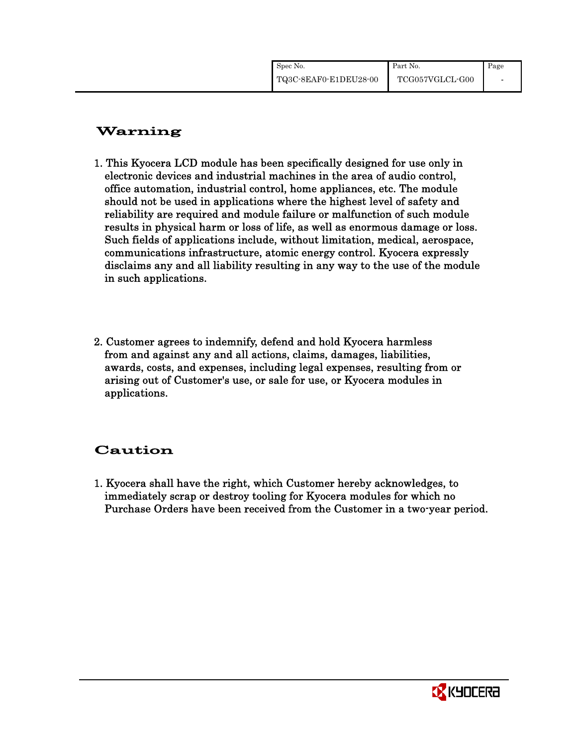| Spec No.              | Part No.        | Page |
|-----------------------|-----------------|------|
| TQ3C-8EAF0-E1DEU28-00 | TCG057VGLCL-G00 |      |

# Warning

- 1. This Kyocera LCD module has been specifically designed for use only in electronic devices and industrial machines in the area of audio control, office automation, industrial control, home appliances, etc. The module should not be used in applications where the highest level of safety and reliability are required and module failure or malfunction of such module results in physical harm or loss of life, as well as enormous damage or loss. Such fields of applications include, without limitation, medical, aerospace, communications infrastructure, atomic energy control. Kyocera expressly disclaims any and all liability resulting in any way to the use of the module in such applications.
- 2. Customer agrees to indemnify, defend and hold Kyocera harmless from and against any and all actions, claims, damages, liabilities, awards, costs, and expenses, including legal expenses, resulting from or arising out of Customer's use, or sale for use, or Kyocera modules in applications.

# Caution

1. Kyocera shall have the right, which Customer hereby acknowledges, to immediately scrap or destroy tooling for Kyocera modules for which no Purchase Orders have been received from the Customer in a two-year period.

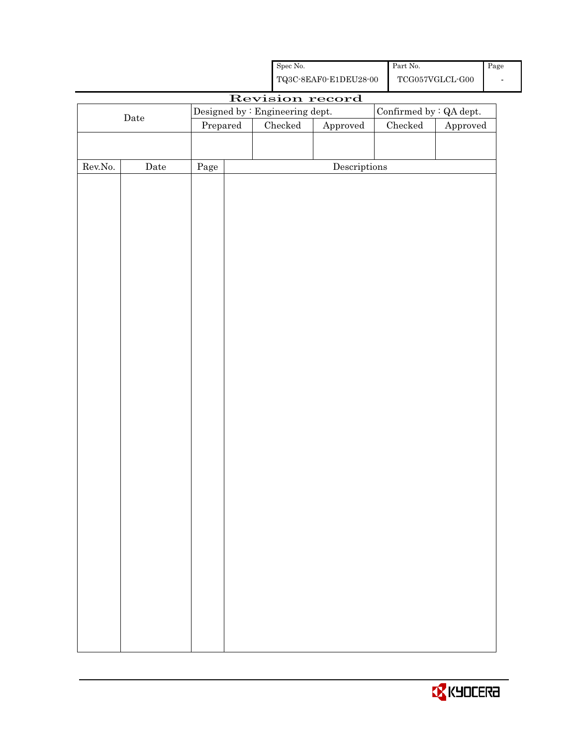| Spec No.<br>Part No. |                        |                                 |                                                    |               | Page                                 |  |                                         |                         |  |
|----------------------|------------------------|---------------------------------|----------------------------------------------------|---------------|--------------------------------------|--|-----------------------------------------|-------------------------|--|
|                      |                        |                                 | ${\bf TQ3C\text{-}SEAF0\text{-}E1DEU28\text{-}00}$ |               |                                      |  | $\operatorname{TCG057VGLCL\text{-}G00}$ |                         |  |
|                      |                        |                                 |                                                    |               | Revision record                      |  |                                         |                         |  |
|                      |                        | Designed by : Engineering dept. |                                                    |               |                                      |  |                                         | Confirmed by : QA dept. |  |
|                      | Date<br>$\bf Prepared$ |                                 |                                                    | $\rm Checked$ | ${\Large\bf Approved}$               |  | $\rm Checked$                           | Approved                |  |
|                      |                        |                                 |                                                    |               |                                      |  |                                         |                         |  |
|                      |                        |                                 |                                                    |               |                                      |  |                                         |                         |  |
| ${\rm Rev. No.}$     | $\rm{Date}$            | $\rm Page$                      |                                                    |               | $\label{eq:2} \textbf{Descriptions}$ |  |                                         |                         |  |
|                      |                        |                                 |                                                    |               |                                      |  |                                         |                         |  |
|                      |                        |                                 |                                                    |               |                                      |  |                                         |                         |  |
|                      |                        |                                 |                                                    |               |                                      |  |                                         |                         |  |
|                      |                        |                                 |                                                    |               |                                      |  |                                         |                         |  |
|                      |                        |                                 |                                                    |               |                                      |  |                                         |                         |  |
|                      |                        |                                 |                                                    |               |                                      |  |                                         |                         |  |
|                      |                        |                                 |                                                    |               |                                      |  |                                         |                         |  |
|                      |                        |                                 |                                                    |               |                                      |  |                                         |                         |  |
|                      |                        |                                 |                                                    |               |                                      |  |                                         |                         |  |
|                      |                        |                                 |                                                    |               |                                      |  |                                         |                         |  |
|                      |                        |                                 |                                                    |               |                                      |  |                                         |                         |  |
|                      |                        |                                 |                                                    |               |                                      |  |                                         |                         |  |
|                      |                        |                                 |                                                    |               |                                      |  |                                         |                         |  |
|                      |                        |                                 |                                                    |               |                                      |  |                                         |                         |  |
|                      |                        |                                 |                                                    |               |                                      |  |                                         |                         |  |
|                      |                        |                                 |                                                    |               |                                      |  |                                         |                         |  |
|                      |                        |                                 |                                                    |               |                                      |  |                                         |                         |  |
|                      |                        |                                 |                                                    |               |                                      |  |                                         |                         |  |
|                      |                        |                                 |                                                    |               |                                      |  |                                         |                         |  |
|                      |                        |                                 |                                                    |               |                                      |  |                                         |                         |  |
|                      |                        |                                 |                                                    |               |                                      |  |                                         |                         |  |
|                      |                        |                                 |                                                    |               |                                      |  |                                         |                         |  |
|                      |                        |                                 |                                                    |               |                                      |  |                                         |                         |  |
|                      |                        |                                 |                                                    |               |                                      |  |                                         |                         |  |
|                      |                        |                                 |                                                    |               |                                      |  |                                         |                         |  |
|                      |                        |                                 |                                                    |               |                                      |  |                                         |                         |  |
|                      |                        |                                 |                                                    |               |                                      |  |                                         |                         |  |
|                      |                        |                                 |                                                    |               |                                      |  |                                         |                         |  |
|                      |                        |                                 |                                                    |               |                                      |  |                                         |                         |  |
|                      |                        |                                 |                                                    |               |                                      |  |                                         |                         |  |
|                      |                        |                                 |                                                    |               |                                      |  |                                         |                         |  |
|                      |                        |                                 |                                                    |               |                                      |  |                                         |                         |  |
|                      |                        |                                 |                                                    |               |                                      |  |                                         |                         |  |
|                      |                        |                                 |                                                    |               |                                      |  |                                         |                         |  |
|                      |                        |                                 |                                                    |               |                                      |  |                                         |                         |  |

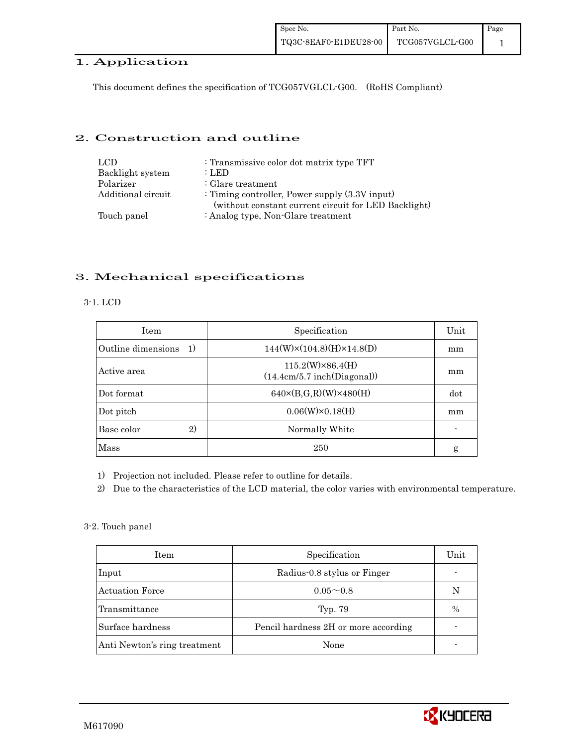## 1. Application

This document defines the specification of TCG057VGLCL-G00. (RoHS Compliant)

#### 2. Construction and outline

| LCD.               | : Transmissive color dot matrix type TFT                                                                  |
|--------------------|-----------------------------------------------------------------------------------------------------------|
| Backlight system   | : LED                                                                                                     |
| Polarizer          | $:$ Glare treatment                                                                                       |
| Additional circuit | : Timing controller, Power supply $(3.3V)$ input)<br>(without constant current circuit for LED Backlight) |
| Touch panel        | : Analog type, Non-Glare treatment                                                                        |

### 3. Mechanical specifications

### 3-1. LCD

| <b>Item</b>              | Specification                                          | Unit |
|--------------------------|--------------------------------------------------------|------|
| Outline dimensions<br>1) | $144(W)\times(104.8)(H)\times14.8(D)$                  | mm   |
| Active area              | $115.2(W)\times86.4(H)$<br>(14.4cm/5.7 inch(Diagonal)) | mm   |
| Dot format               | $640 \times (B,G,R)(W) \times 480(H)$                  | dot  |
| Dot pitch                | $0.06(W) \times 0.18(H)$                               | mm   |
| 2)<br>Base color         | Normally White                                         |      |
| Mass                     | 250                                                    | g    |

1) Projection not included. Please refer to outline for details.

2) Due to the characteristics of the LCD material, the color varies with environmental temperature.

3-2. Touch panel

| Item                         | Specification                        | Unit |
|------------------------------|--------------------------------------|------|
| Input                        | Radius 0.8 stylus or Finger          |      |
| <b>Actuation Force</b>       | $0.05 - 0.8$                         | N    |
| Transmittance                | Typ. 79                              | $\%$ |
| Surface hardness             | Pencil hardness 2H or more according |      |
| Anti Newton's ring treatment | None                                 |      |

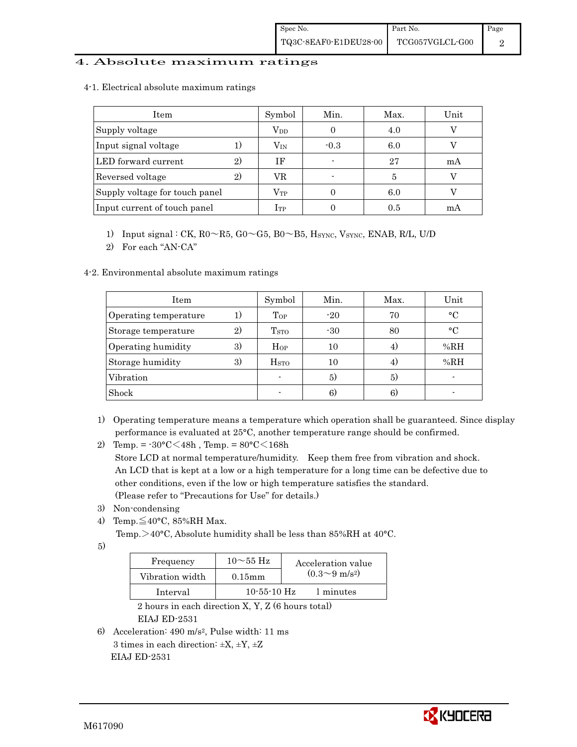#### 4. Absolute maximum ratings

4-1.Electrical absolute maximum ratings

| Item                           | Symbol           | Min.   | Max. | Unit |
|--------------------------------|------------------|--------|------|------|
| Supply voltage                 | $\rm V_{DD}$     |        | 4.0  |      |
| Input signal voltage           | $\rm V_{\rm IN}$ | $-0.3$ | 6.0  |      |
| LED forward current<br>2)      | ΙF               |        | 27   | mA   |
| Reversed voltage               | VR               |        | 5    |      |
| Supply voltage for touch panel | $\rm V_{TP}$     |        | 6.0  |      |
| Input current of touch panel   | $_{\rm ITP}$     |        | 0.5  | mA   |

- 1) Input signal : CK,  $R0 \sim R5$ ,  $G0 \sim G5$ ,  $B0 \sim B5$ ,  $H<sub>SYNC</sub>$ ,  $V<sub>SYNC</sub>$ ,  $ENAB$ ,  $R/L$ ,  $U/D$
- 2) For each "AN-CA"

#### 4-2. Environmental absolute maximum ratings

| Item                  |     | Symbol             | Min.  | Max. | Unit      |
|-----------------------|-----|--------------------|-------|------|-----------|
| Operating temperature | 1 J | Top                | $-20$ | 70   | $\circ$ C |
| Storage temperature   | 2)  | T <sub>STO</sub>   | $-30$ | 80   | $\circ$ C |
| Operating humidity    | 3)  | $H_{OP}$           | 10    | 4.   | %RH       |
| Storage humidity      | 3)  | $_{\mathrm{HSTO}}$ | 10    | 4)   | %RH       |
| Vibration             |     |                    | 5)    | 5)   |           |
| Shock                 |     |                    | 6)    | 6)   |           |

- 1) Operating temperature means a temperature which operation shall be guaranteed. Since display performance is evaluated at 25°C, another temperature range should be confirmed.
- 2) Temp. =  $-30^{\circ}$ C $<$ 48h, Temp. =  $80^{\circ}$ C $<$ 168h

 Store LCD at normal temperature/humidity. Keep them free from vibration and shock. An LCD that is kept at a low or a high temperature for a long time can be defective due to other conditions, even if the low or high temperature satisfies the standard. (Please refer to "Precautions for Use" for details.)

- 3) Non-condensing
- 4) Temp. $\leq$ 40°C, 85%RH Max.

Temp. >40°C, Absolute humidity shall be less than 85%RH at 40°C.

5)

| Frequency       | $10\sim$ 55 Hz    | Acceleration value         |
|-----------------|-------------------|----------------------------|
| Vibration width | $0.15$ mm         | $(0.3{\sim}9~{\rm m/s^2})$ |
| Interval        | $10 - 55 - 10$ Hz | 1 minutes                  |

 2 hours in each direction X, Y, Z (6 hours total) EIAJ ED-2531

6) Acceleration: 490 m/s2, Pulse width: 11 ms 3 times in each direction:  $\pm X$ ,  $\pm Y$ ,  $\pm Z$ EIAJ ED-2531

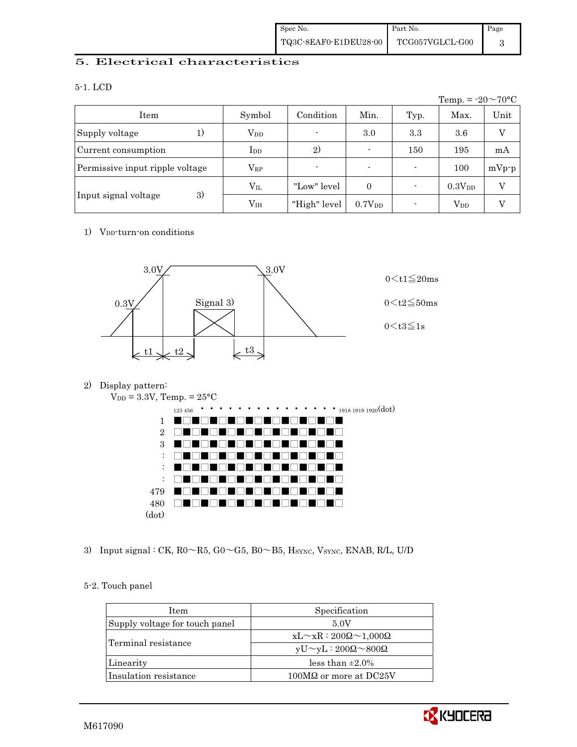| Spec No.              | Part No.                                | Page |
|-----------------------|-----------------------------------------|------|
| TQ3C-8EAF0-E1DEU28-00 | $\operatorname{TCG057VGLCL\text{-}G00}$ |      |

## 5. Electrical characteristics

#### 5-1. LCD

|                                 |               |              |                          |      | Temp. = $-20 \sim 70$ °C |                |
|---------------------------------|---------------|--------------|--------------------------|------|--------------------------|----------------|
| Item                            | Symbol        | Condition    | Min.                     | Typ. | Max.                     | Unit           |
| Supply voltage<br>1)            | $V_{DD}$      | ٠            | 3.0                      | 3.3  | 3.6                      | $\overline{V}$ |
| Current consumption             | $_{\rm{LDD}}$ | 2)           | $\blacksquare$           | 150  | 195                      | mA             |
| Permissive input ripple voltage | $\rm V_{RP}$  | ٠            | $\overline{\phantom{0}}$ | ۰    | 100                      | $mVp-p$        |
|                                 | $\rm V_{II}$  | "Low" level" | $\Omega$                 |      | 0.3V <sub>DD</sub>       | V              |
| 3)<br>Input signal voltage      | $\rm V_{IH}$  | "High" level | $0.7V_{DD}$              |      | $V_{DD}$                 | V              |

#### 1) V<sub>DD</sub>-turn-on conditions



2) Display pattern:





3) Input signal : CK, R0 ~ R5, G0 ~ G5, B0 ~ B5, HSYNC, VSYNC, ENAB, R/L, U/D

#### 5-2. Touch panel

| <b>Item</b>                    | Specification                             |
|--------------------------------|-------------------------------------------|
| Supply voltage for touch panel | 5.0V                                      |
|                                | $xL \sim xR : 200\Omega \sim 1,000\Omega$ |
| Terminal resistance            | $yU \sim yL : 200\Omega \sim 800\Omega$   |
| Linearity                      | less than $\pm 2.0\%$                     |
| Insulation resistance          | $100M\Omega$ or more at DC25V             |
|                                |                                           |

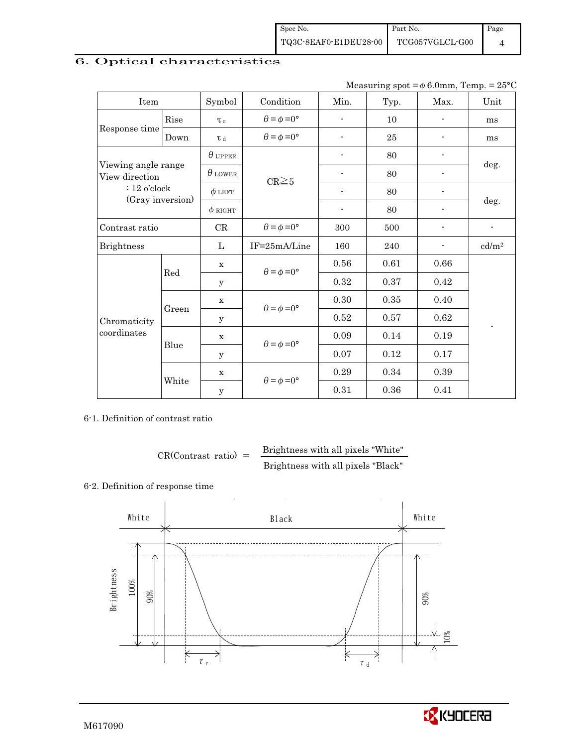| Spec No.              | Part No.        | Page |
|-----------------------|-----------------|------|
| TQ3C-8EAF0-E1DEU28-00 | TCG057VGLCL-G00 |      |

# 6. Optical characteristics

Measuring spot =  $\phi$  6.0mm, Temp. = 25°C

| Item                                  |       | Symbol                                     | Condition                   | Min.                     | Typ. | Max. | Unit              |  |
|---------------------------------------|-------|--------------------------------------------|-----------------------------|--------------------------|------|------|-------------------|--|
|                                       | Rise  | $\tau_r$                                   | $\theta = \phi = 0^{\circ}$ | $\overline{\phantom{a}}$ | 10   |      | ms                |  |
| Response time                         | Down  | T d                                        | $\theta = \phi = 0^{\circ}$ |                          | 25   |      | ms                |  |
|                                       |       | $\theta$ upper                             |                             | $\overline{\phantom{a}}$ | 80   |      | deg.              |  |
| Viewing angle range<br>View direction |       | $\theta$ LOWER                             | $CR \ge 5$                  |                          | 80   |      |                   |  |
| $: 12$ o'clock                        |       | $\phi$ LEFT                                |                             |                          | 80   |      |                   |  |
| (Gray inversion)                      |       | $\phi$ right                               |                             | $\overline{\phantom{a}}$ | 80   |      | deg.              |  |
| Contrast ratio                        |       | CR                                         | $\theta = \phi = 0^{\circ}$ | 300                      | 500  |      |                   |  |
| <b>Brightness</b>                     |       | L                                          | IF=25mA/Line                | 160                      | 240  |      | cd/m <sup>2</sup> |  |
|                                       | Red   | $\mathbf x$                                | $\theta = \phi = 0^{\circ}$ | 0.56                     | 0.61 | 0.66 |                   |  |
|                                       |       | У                                          |                             | 0.32                     | 0.37 | 0.42 |                   |  |
|                                       |       | $\mathbf x$                                | $\theta = \phi = 0^{\circ}$ | 0.30                     | 0.35 | 0.40 |                   |  |
| Chromaticity                          | Green | у                                          |                             | 0.52                     | 0.57 | 0.62 |                   |  |
| coordinates                           |       | $\mathbf x$                                | $\theta = \phi = 0^{\circ}$ | 0.09                     | 0.14 | 0.19 |                   |  |
|                                       | Blue  | y                                          |                             | 0.07                     | 0.12 | 0.17 |                   |  |
|                                       |       | $\mathbf x$                                |                             | 0.29                     | 0.34 | 0.39 |                   |  |
|                                       | White | $\theta = \phi = 0^{\circ}$<br>$\mathbf y$ |                             | 0.31                     | 0.36 | 0.41 |                   |  |

6-1. Definition of contrast ratio

$$
CR(Contrast ratio) = \frac{Brightness with all pixels "White"
$$
Brightness with all pixels "Black"

### 6-2. Definition of response time



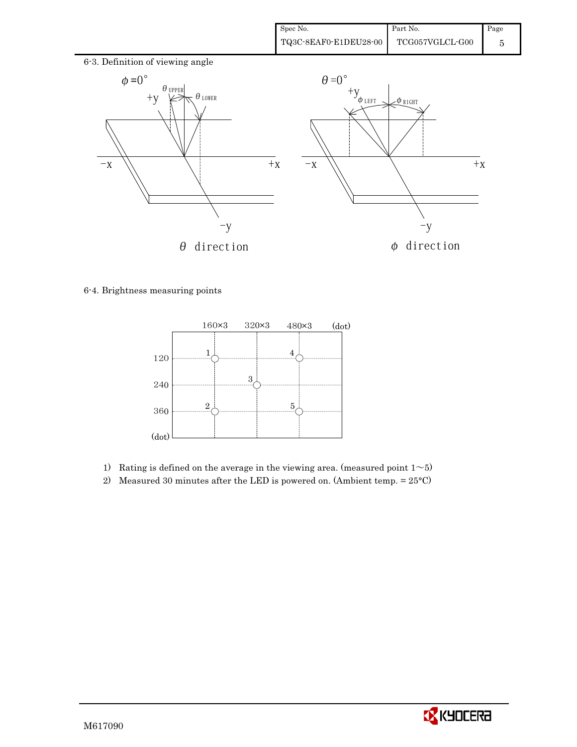

### 6-4. Brightness measuring points



- 1) Rating is defined on the average in the viewing area. (measured point  $1~>5$ )
- 2) Measured 30 minutes after the LED is powered on. (Ambient temp.  $= 25^{\circ}$ C)

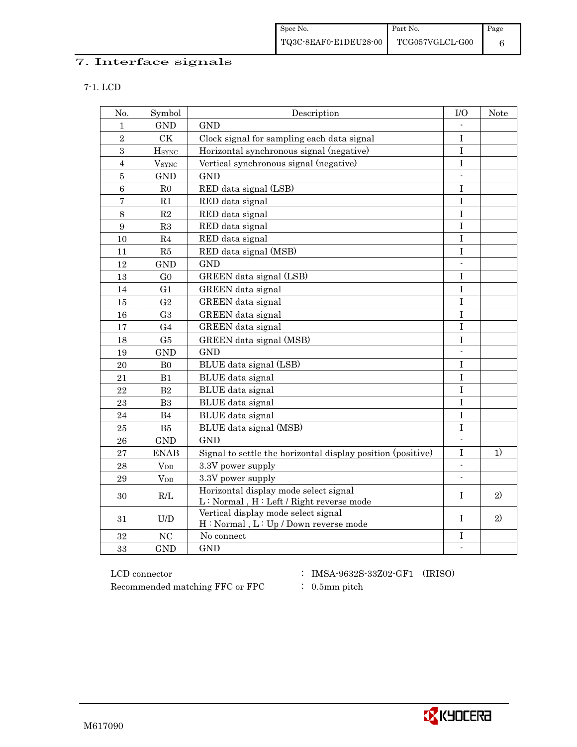| Spec No.              | Part No.        | Page |
|-----------------------|-----------------|------|
| TQ3C-8EAF0-E1DEU28-00 | TCG057VGLCL-G00 |      |

# 7. Interface signals

| No.              | Symbol                   | Description                                                                      | I/O                       | <b>Note</b> |
|------------------|--------------------------|----------------------------------------------------------------------------------|---------------------------|-------------|
| $\mathbf{1}$     | <b>GND</b>               | <b>GND</b>                                                                       |                           |             |
| $\overline{2}$   | <b>CK</b>                | Clock signal for sampling each data signal                                       | T                         |             |
| 3                | <b>HSYNC</b>             | Horizontal synchronous signal (negative)                                         | $\overline{I}$            |             |
| $\overline{4}$   | <b>V</b> <sub>SYNC</sub> | Vertical synchronous signal (negative)                                           | $\rm I$                   |             |
| $\overline{5}$   | $\mathop{\rm GND}$       | <b>GND</b>                                                                       |                           |             |
| $\,6\,$          | R <sub>0</sub>           | RED data signal (LSB)                                                            | $\rm I$                   |             |
| $\overline{7}$   | R1                       | RED data signal                                                                  | $\rm I$                   |             |
| $8\,$            | R <sub>2</sub>           | RED data signal                                                                  | $\mathbf I$               |             |
| $\boldsymbol{9}$ | R3                       | RED data signal                                                                  | I                         |             |
| 10               | R <sub>4</sub>           | RED data signal                                                                  | $\rm I$                   |             |
| 11               | R5                       | RED data signal (MSB)                                                            | $\bf{I}$                  |             |
| 12               | <b>GND</b>               | <b>GND</b>                                                                       | $\overline{\phantom{a}}$  |             |
| 13               | ${\rm G0}$               | GREEN data signal (LSB)                                                          | $\overline{I}$            |             |
| 14               | G1                       | GREEN data signal                                                                | $\rm I$                   |             |
| 15               | G <sub>2</sub>           | GREEN data signal                                                                | $\mathbf I$               |             |
| 16               | G <sub>3</sub>           | GREEN data signal                                                                | T                         |             |
| 17               | G <sub>4</sub>           | GREEN data signal                                                                | $\mathbf I$               |             |
| 18               | G5                       | GREEN data signal (MSB)                                                          | T                         |             |
| 19               | <b>GND</b>               | <b>GND</b>                                                                       |                           |             |
| 20               | B <sub>0</sub>           | BLUE data signal (LSB)                                                           | I                         |             |
| 21               | B1                       | <b>BLUE</b> data signal                                                          | $\bf{I}$                  |             |
| 22               | B <sub>2</sub>           | BLUE data signal                                                                 | $\bf{I}$                  |             |
| 23               | B <sub>3</sub>           | BLUE data signal                                                                 | T                         |             |
| 24               | B4                       | BLUE data signal                                                                 | $\mathbf I$               |             |
| 25               | B <sub>5</sub>           | BLUE data signal (MSB)                                                           | $\mathbf I$               |             |
| 26               | <b>GND</b>               | <b>GND</b>                                                                       | $\mathbb{Z}^{\mathbb{Z}}$ |             |
| 27               | <b>ENAB</b>              | Signal to settle the horizontal display position (positive)                      | $\mathbf I$               | 1)          |
| 28               | $V_{DD}$                 | 3.3V power supply                                                                |                           |             |
| 29               | $V_{DD}$                 | 3.3V power supply                                                                |                           |             |
| 30               | R/L                      | Horizontal display mode select signal<br>L: Normal, H: Left / Right reverse mode | I                         | 2)          |
| 31               | U/D                      | Vertical display mode select signal<br>H: Normal, L: Up / Down reverse mode      | T                         | 2)          |
| 32               | NC                       | No connect                                                                       | $\bf I$                   |             |
| 33               | <b>GND</b>               | <b>GND</b>                                                                       | ÷.                        |             |

 ${\rm LCD~connector} ~~:~{\rm IMSA}\mbox{-}9632{\rm S}\mbox{-}33{\rm Z}02\mbox{-} {\rm GF1}~~\mbox{ (IRISO)}$ Recommended matching FFC or FPC  $\qquad$  : 0.5mm pitch

- 
- 

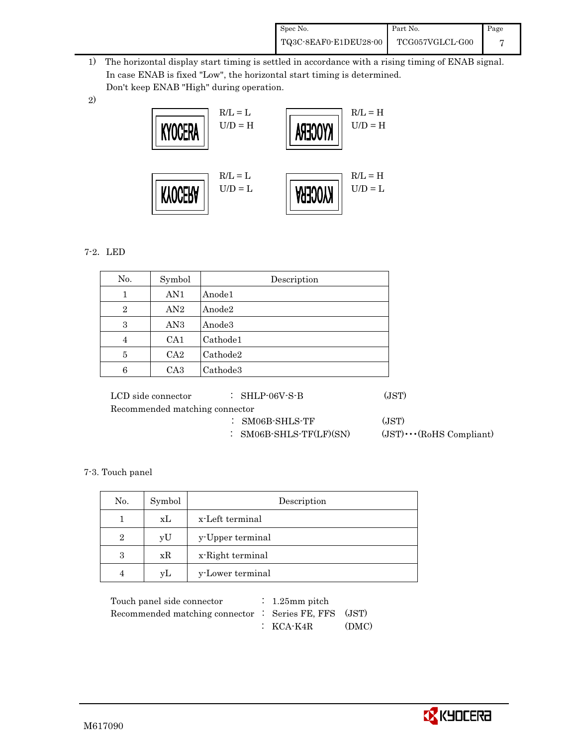| Spec No.              | Part No.                                | Page |
|-----------------------|-----------------------------------------|------|
| TQ3C-8EAF0-E1DEU28-00 | $\operatorname{TCG057VGLCL\text{-}G00}$ |      |

 1) The horizontal display start timing is settled in accordance with a rising timing of ENAB signal. In case ENAB is fixed "Low", the horizontal start timing is determined. Don't keep ENAB "High" during operation.



#### 7-2.LED

2)

| Symbol          | Description |
|-----------------|-------------|
| AN <sub>1</sub> | Anode1      |
| AN2             | Anode2      |
| AN <sub>3</sub> | Anode3      |
| CA <sub>1</sub> | Cathode1    |
| CA <sub>2</sub> | Cathode2    |
| CA <sub>3</sub> | Cathode3    |
|                 |             |

| LCD side connector             | $\therefore$ SHLP-06V-S-B  | (JST)                          |
|--------------------------------|----------------------------|--------------------------------|
| Recommended matching connector |                            |                                |
|                                | $\therefore$ SM06B-SHLS-TF | (JST)                          |
|                                | : $SM06B-SHLS-TF(LF)(SN)$  | $(JST)\cdots (RoHS Compliant)$ |
|                                |                            |                                |

#### 7-3. Touch panel

| No. | Symbol | Description      |
|-----|--------|------------------|
|     | xL     | x-Left terminal  |
| 2   | vU     | y-Upper terminal |
| 3   | xR     | x-Right terminal |
|     | yL     | y-Lower terminal |

| Touch panel side connector                            | $\therefore$ 1.25mm pitch |       |
|-------------------------------------------------------|---------------------------|-------|
| Recommended matching connector : Series FE, FFS (JST) |                           |       |
|                                                       | $\colon$ KCA-K4R          | (DMC) |

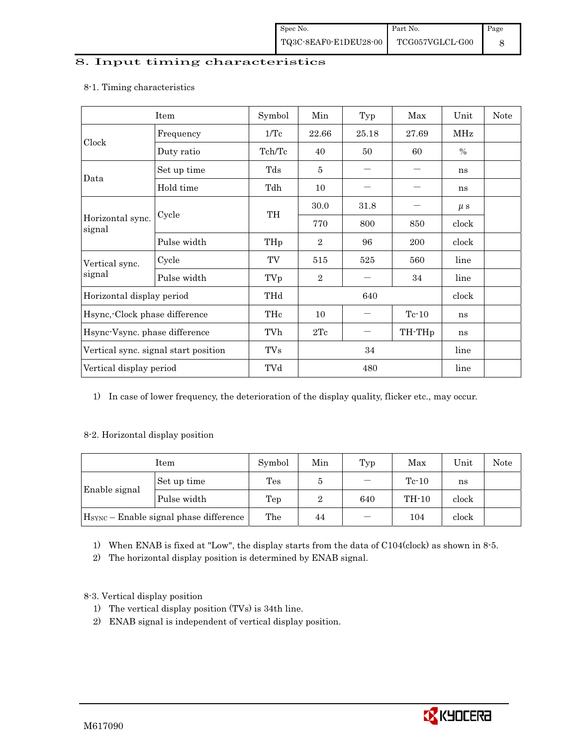### 8. Input timing characteristics

# Item Symbol Min Typ Max Unit Note Frequency | 1/Tc | 22.66 | 25.18 | 27.69 | MHz Clock Duty ratio  $\begin{array}{|c|c|c|c|c|c|c|c|c|} \hline \end{array}$  Tch/Tc  $\begin{array}{|c|c|c|c|c|c|c|c|} \hline \end{array}$  50 60  $\begin{array}{|c|c|c|c|c|c|c|} \hline \end{array}$ Set up time Tds 5 - - ns Data Hold time  $\vert$  Tdh  $\vert$  10  $\vert$   $\vert$   $\vert$  ns  $30.0$   $31.8$   $\mu s$ Cycle TH Horizontal sync. Cycle TH 770 800 850 clock signal Pulse width THp 2 96 200 clock Vertical sync.  $\begin{array}{|c|c|c|c|c|c|c|c|c|} \hline \end{array}$  TV  $\begin{array}{|c|c|c|c|c|c|c|c|} \hline 515 & 525 & 560 & \text{line} \end{array}$ signal Pulse width TVp 2 - 34 line Horizontal display period THd 640 clock Hsync,-Clock phase difference  $\vert$  THc  $\vert$  10  $\vert$  -  $\vert$  Tc-10 ns Hsync-Vsync. phase difference  $\vert$  TVh  $\vert$  2Tc  $\vert$  - TH-THp ns Vertical sync. signal start position TVs 7 34 line Vertical display period  $\begin{array}{|c|c|c|c|c|c|c|c|} \hline \end{array}$  TVd  $\begin{array}{|c|c|c|c|c|c|c|c|} \hline \end{array}$  480 line

8-1. Timing characteristics

1) In case of lower frequency, the deterioration of the display quality, flicker etc., may occur.

#### 8-2. Horizontal display position

| Item          |                                                    | Symbol | Min | Typ | Max     | Unit  | Note |
|---------------|----------------------------------------------------|--------|-----|-----|---------|-------|------|
| Enable signal | Set up time                                        | Tes    | Э   |     | $Te-10$ | ns    |      |
|               | Pulse width                                        | Tep    |     | 640 | $TH-10$ | clock |      |
|               | H <sub>SYNC</sub> – Enable signal phase difference | The    | 44  | -   | 104     | clock |      |

1) When ENAB is fixed at "Low", the display starts from the data of C104(clock) as shown in 8-5.

2) The horizontal display position is determined by ENAB signal.

8-3. Vertical display position

- 1) The vertical display position (TVs) is 34th line.
- 2) ENAB signal is independent of vertical display position.

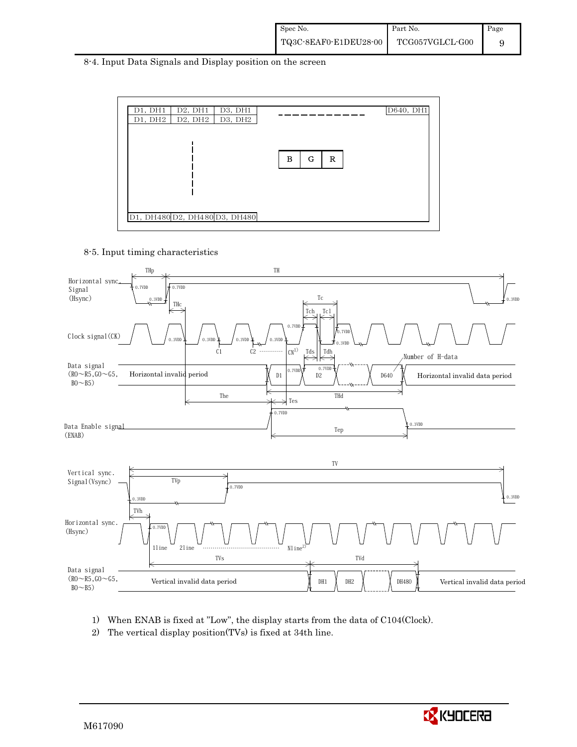| Spec No.              | Part No.                         | Page |
|-----------------------|----------------------------------|------|
| TQ3C-8EAF0-E1DEU28-00 | $\operatorname{TCG057VGLCL-G00}$ |      |

8-4. Input Data Signals and Display position on the screen



8-5. Input timing characteristics



- 1) When ENAB is fixed at "Low", the display starts from the data of C104(Clock).
- 2) The vertical display position(TVs) is fixed at 34th line.

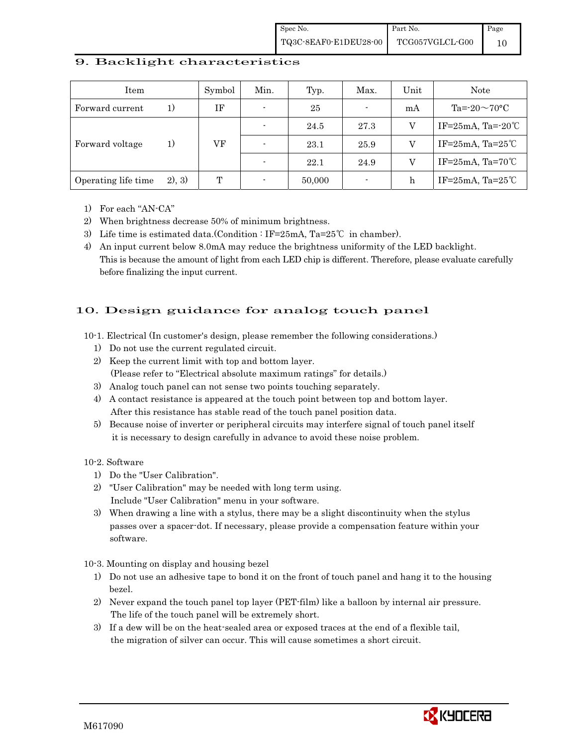#### 9. Backlight characteristics

| Item                |        | Symbol | Min. | Typ.   | Max.                     | Unit | <b>Note</b>         |                          |
|---------------------|--------|--------|------|--------|--------------------------|------|---------------------|--------------------------|
| Forward current     | 1)     | ΙF     |      | 25     | $\overline{\phantom{a}}$ | mA   | Ta=-20 $\sim$ 70°C  |                          |
|                     | 1)     |        |      |        | 24.5                     | 27.3 | V                   | IF= $25mA$ , Ta= $-20°C$ |
| Forward voltage     |        | VF     |      | 23.1   | 25.9                     | V    | IF=25mA, Ta=25 $°C$ |                          |
|                     |        |        |      | 22.1   | 24.9                     | V    | IF=25mA, Ta=70 $°C$ |                          |
| Operating life time | 2), 3) | T      |      | 50,000 | -                        | h    | IF=25mA, Ta=25 $°C$ |                          |

- 1) For each "AN-CA"
- 2) When brightness decrease 50% of minimum brightness.
- 3) Life time is estimated data.(Condition : IF=25mA, Ta=25℃ in chamber).
- 4) An input current below 8.0mA may reduce the brightness uniformity of the LED backlight. This is because the amount of light from each LED chip is different. Therefore, please evaluate carefully before finalizing the input current.

### 10. Design guidance for analog touch panel

- 10-1. Electrical (In customer's design, please remember the following considerations.)
	- 1) Do not use the current regulated circuit.
	- 2) Keep the current limit with top and bottom layer. (Please refer to "Electrical absolute maximum ratings" for details.)
	- 3) Analog touch panel can not sense two points touching separately.
	- 4) A contact resistance is appeared at the touch point between top and bottom layer. After this resistance has stable read of the touch panel position data.
	- 5) Because noise of inverter or peripheral circuits may interfere signal of touch panel itself it is necessary to design carefully in advance to avoid these noise problem.

10-2. Software

- 1) Do the "User Calibration".
- 2) "User Calibration" may be needed with long term using. Include "User Calibration" menu in your software.
- 3) When drawing a line with a stylus, there may be a slight discontinuity when the stylus passes over a spacer-dot. If necessary, please provide a compensation feature within your software.

10-3. Mounting on display and housing bezel

- 1) Do not use an adhesive tape to bond it on the front of touch panel and hang it to the housing bezel.
- 2) Never expand the touch panel top layer (PET-film) like a balloon by internal air pressure. The life of the touch panel will be extremely short.
- 3) If a dew will be on the heat-sealed area or exposed traces at the end of a flexible tail, the migration of silver can occur. This will cause sometimes a short circuit.

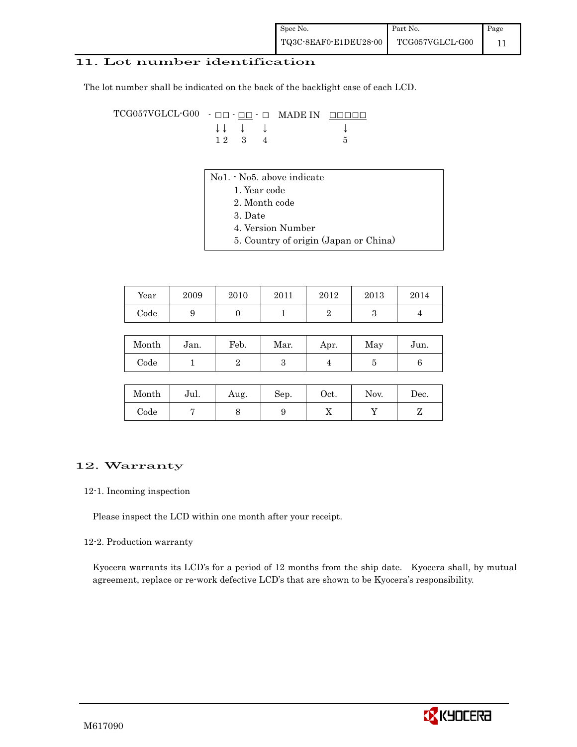### 11. Lot number identification

The lot number shall be indicated on the back of the backlight case of each LCD.

 $TCG057VGLCL-G00 - \Box\Box - \underline{\Box\Box} - \Box$  MADE IN  $\Box\Box\Box\Box\Box$  $\downarrow \qquad \qquad \downarrow \qquad \qquad \downarrow \qquad \qquad \downarrow \qquad \qquad \downarrow$  $1 2 3 4 5$ 

- No1. No5. above indicate
	- 1. Year code
		- 2. Month code
	- 3. Date
	- 4. Version Number
	- 5. Country of origin (Japan or China)

| Year       | 2009 | 2010 | 2011 | 2012 | 2013 | 2014 |
|------------|------|------|------|------|------|------|
| $\rm Code$ | ັ    |      |      |      | ື    |      |

| Month        | Jan. | Feb. | Mar. | Apr. | May | Jun. |
|--------------|------|------|------|------|-----|------|
| ${\rm Code}$ |      |      |      |      |     |      |

| Month        | Jul. | Aug. | Sep. | $_{\rm Oct.}$ | Nov. | Dec. |
|--------------|------|------|------|---------------|------|------|
| ${\rm Code}$ |      | U    | ັ    | 77            |      |      |

#### 12. Warranty

#### 12-1. Incoming inspection

Please inspect the LCD within one month after your receipt.

#### 12-2. Production warranty

 Kyocera warrants its LCD's for a period of 12 months from the ship date. Kyocera shall, by mutual agreement, replace or re-work defective LCD's that are shown to be Kyocera's responsibility.

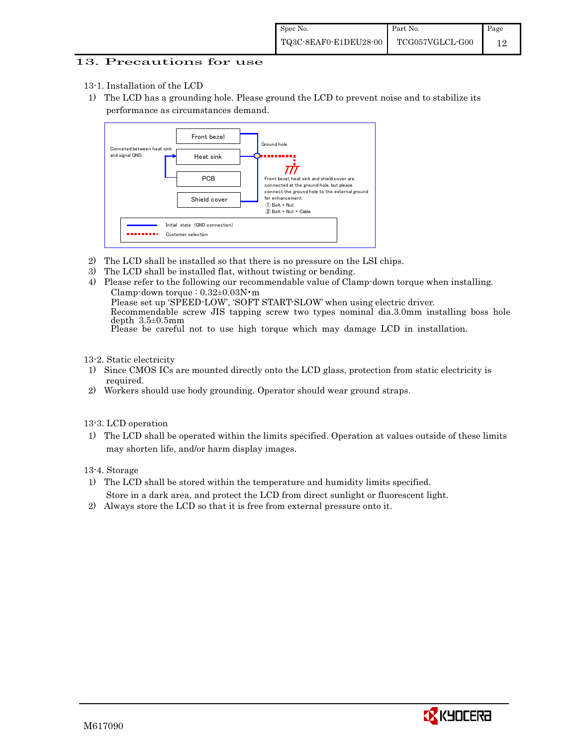#### 13. Precautions for use

- 13-1. Installation of the LCD
- 1) The LCD has a grounding hole. Please ground the LCD to prevent noise and to stabilize its performance as circumstances demand.



- 2) The LCD shall be installed so that there is no pressure on the LSI chips.
- 3) The LCD shall be installed flat, without twisting or bending.
- 4) Please refer to the following our recommendable value of Clamp-down torque when installing. Clamp-down torque : 0.32±0.03N・m Please set up 'SPEED-LOW', 'SOFT START-SLOW' when using electric driver. Recommendable screw JIS tapping screw two types nominal dia.3.0mm installing boss hole depth 3.5±0.5mm Please be careful not to use high torque which may damage LCD in installation.

13-2. Static electricity

- 1) Since CMOS ICs are mounted directly onto the LCD glass, protection from static electricity is required.
- 2) Workers should use body grounding. Operator should wear ground straps.
- 13-3. LCD operation
- 1) The LCD shall be operated within the limits specified. Operation at values outside of these limits may shorten life, and/or harm display images.

13-4. Storage

- 1) The LCD shall be stored within the temperature and humidity limits specified. Store in a dark area, and protect the LCD from direct sunlight or fluorescent light.
- 2) Always store the LCD so that it is free from external pressure onto it.

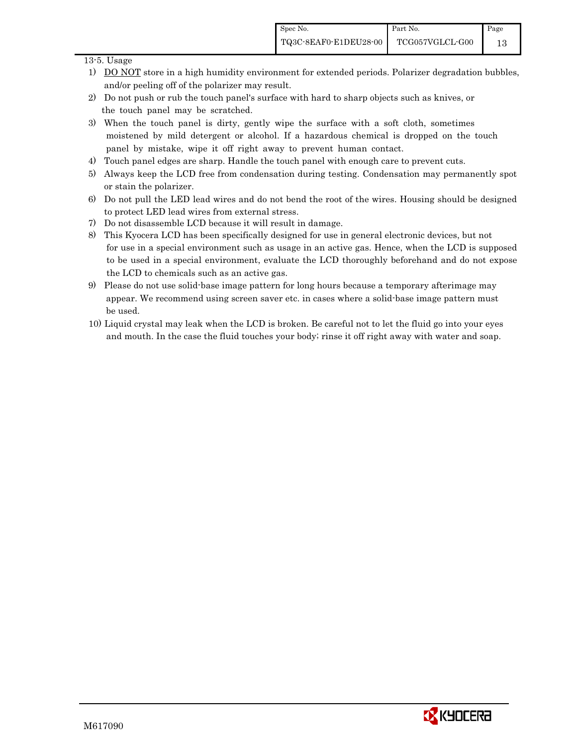#### 13-5. Usage

- 1) DO NOT store in a high humidity environment for extended periods. Polarizer degradation bubbles, and/or peeling off of the polarizer may result.
- 2) Do not push or rub the touch panel's surface with hard to sharp objects such as knives, or the touch panel may be scratched.
- 3) When the touch panel is dirty, gently wipe the surface with a soft cloth, sometimes moistened by mild detergent or alcohol. If a hazardous chemical is dropped on the touch panel by mistake, wipe it off right away to prevent human contact.
- 4) Touch panel edges are sharp. Handle the touch panel with enough care to prevent cuts.
- 5) Always keep the LCD free from condensation during testing. Condensation may permanently spot or stain the polarizer.
- 6) Do not pull the LED lead wires and do not bend the root of the wires. Housing should be designed to protect LED lead wires from external stress.
- 7) Do not disassemble LCD because it will result in damage.
- 8) This Kyocera LCD has been specifically designed for use in general electronic devices, but not for use in a special environment such as usage in an active gas. Hence, when the LCD is supposed to be used in a special environment, evaluate the LCD thoroughly beforehand and do not expose the LCD to chemicals such as an active gas.
- 9) Please do not use solid-base image pattern for long hours because a temporary afterimage may appear. We recommend using screen saver etc. in cases where a solid-base image pattern must be used.
- 10) Liquid crystal may leak when the LCD is broken. Be careful not to let the fluid go into your eyes and mouth. In the case the fluid touches your body; rinse it off right away with water and soap.

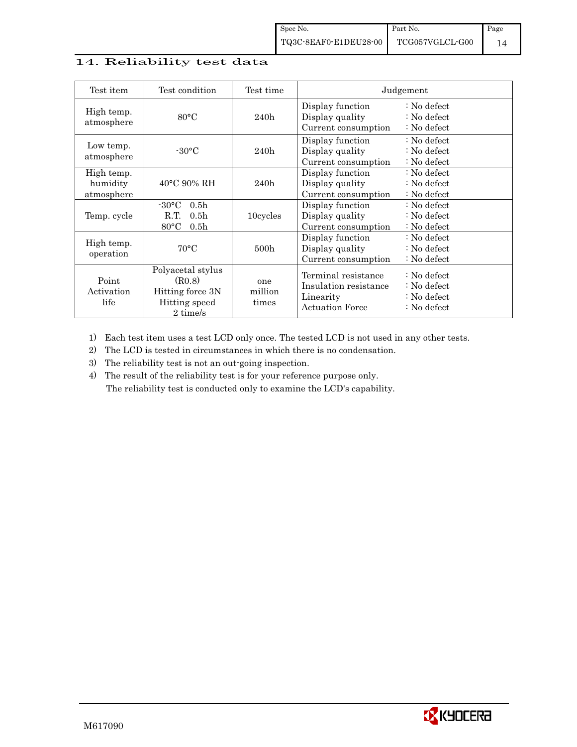### 14. Reliability test data

| Test item                            | Test condition                                                                                        | Test time               |                                                                                     | Judgement                                                                      |
|--------------------------------------|-------------------------------------------------------------------------------------------------------|-------------------------|-------------------------------------------------------------------------------------|--------------------------------------------------------------------------------|
| High temp.<br>atmosphere             | $80^{\circ}$ C                                                                                        | 240h                    | Display function<br>Display quality<br>Current consumption                          | : No defect<br>$\therefore$ No defect<br>: No defect                           |
| Low temp.<br>atmosphere              | $-30^{\circ}$ C                                                                                       | 240h                    | Display function<br>Display quality<br>Current consumption                          | : No defect<br>: No defect<br>: No defect                                      |
| High temp.<br>humidity<br>atmosphere | $40^{\circ}$ C 90% RH                                                                                 | 240h                    | Display function<br>Display quality<br>Current consumption                          | $\therefore$ No defect<br>: No defect<br>: No defect                           |
| Temp. cycle                          | $-30^{\circ}$ C<br>0.5 <sub>h</sub><br>0.5 <sub>h</sub><br>R.T.<br>$80^{\circ}$ C<br>0.5 <sub>h</sub> | 10cycles                | Display function<br>Display quality<br>Current consumption                          | $\therefore$ No defect<br>: No defect<br>: No defect                           |
| High temp.<br>operation              | $70^{\circ}$ C                                                                                        | 500 <sub>h</sub>        | Display function<br>Display quality<br>Current consumption                          | : No defect<br>: No defect<br>: No defect                                      |
| Point<br>Activation<br>life          | Polyacetal stylus<br>(R0.8)<br>Hitting force 3N<br>Hitting speed<br>2 time/s                          | one<br>million<br>times | Terminal resistance<br>Insulation resistance<br>Linearity<br><b>Actuation Force</b> | $\therefore$ No defect<br>: No defect<br>: No defect<br>$\therefore$ No defect |

1) Each test item uses a test LCD only once. The tested LCD is not used in any other tests.

2) The LCD is tested in circumstances in which there is no condensation.

3) The reliability test is not an out-going inspection.

4) The result of the reliability test is for your reference purpose only. The reliability test is conducted only to examine the LCD's capability.

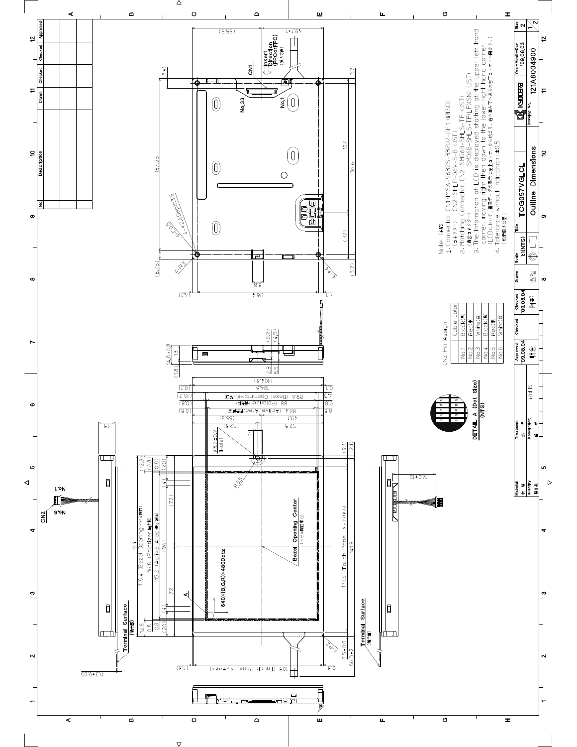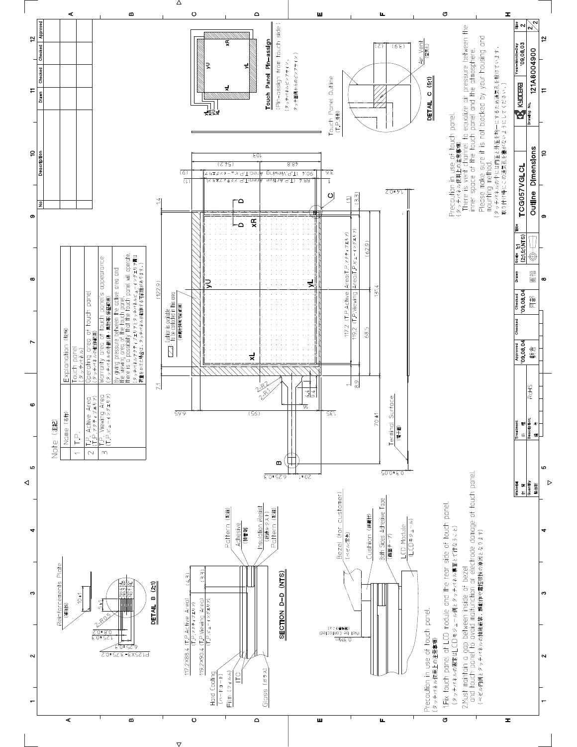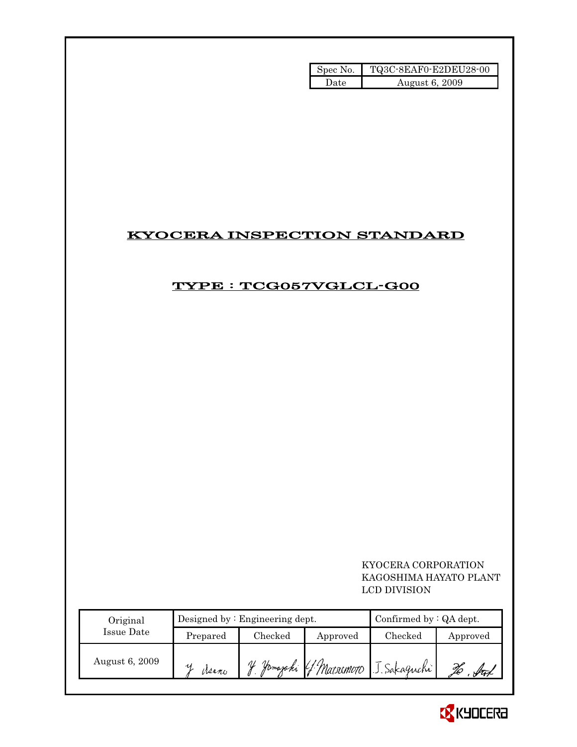| Spec No. | TQ3C-8EAF0-E2DEU28-00 |
|----------|-----------------------|
| Date     | August 6, 2009        |

# KYOCERA INSPECTION STANDARD

# TYPE : TCG057VGLCL-G00

 KYOCERA CORPORATION KAGOSHIMA HAYATO PLANT LCD DIVISION

| Original       |          | Designed by: Engineering dept. | Confirmed by $:QA$ dept. |                                    |          |
|----------------|----------|--------------------------------|--------------------------|------------------------------------|----------|
| Issue Date     | Prepared | Checked                        | Approved                 | Checked                            | Approved |
| August 6, 2009 | Mano     | V                              |                          | Jamajaki G. Matsumoto J. Sakaguchi |          |

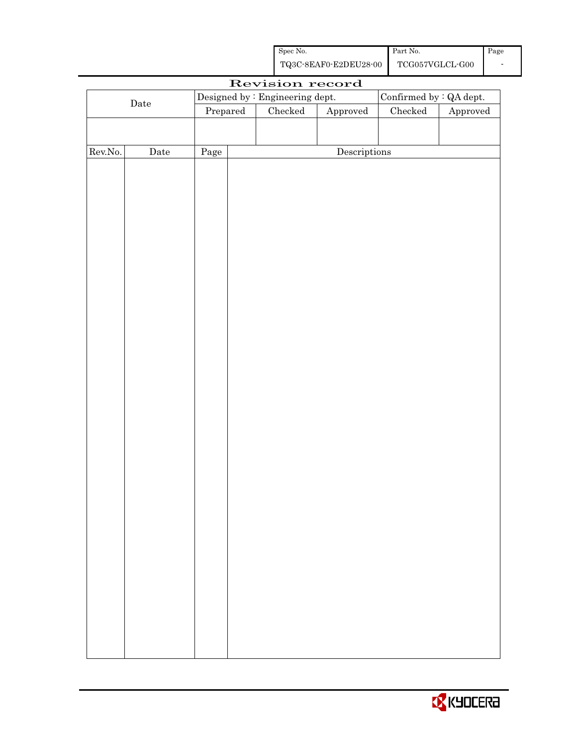| Spec No.              | Part No.        | Page |
|-----------------------|-----------------|------|
| TQ3C-8EAF0-E2DEU28-00 | TCG057VGLCL-G00 | -    |

|                  |             |          | Revision record                 |                        |                         |          |
|------------------|-------------|----------|---------------------------------|------------------------|-------------------------|----------|
|                  |             |          | Designed by : Engineering dept. |                        | Confirmed by : QA dept. |          |
|                  | $\rm{Date}$ | Prepared | Checked                         | ${\Large\bf Approved}$ | ${\it Checked}$         | Approved |
|                  |             |          |                                 |                        |                         |          |
|                  |             |          |                                 |                        |                         |          |
| ${\rm Rev. No.}$ | $\rm{Date}$ | Page     |                                 | Descriptions           |                         |          |
|                  |             |          |                                 |                        |                         |          |
|                  |             |          |                                 |                        |                         |          |
|                  |             |          |                                 |                        |                         |          |
|                  |             |          |                                 |                        |                         |          |
|                  |             |          |                                 |                        |                         |          |
|                  |             |          |                                 |                        |                         |          |
|                  |             |          |                                 |                        |                         |          |
|                  |             |          |                                 |                        |                         |          |
|                  |             |          |                                 |                        |                         |          |
|                  |             |          |                                 |                        |                         |          |
|                  |             |          |                                 |                        |                         |          |
|                  |             |          |                                 |                        |                         |          |
|                  |             |          |                                 |                        |                         |          |
|                  |             |          |                                 |                        |                         |          |
|                  |             |          |                                 |                        |                         |          |
|                  |             |          |                                 |                        |                         |          |
|                  |             |          |                                 |                        |                         |          |
|                  |             |          |                                 |                        |                         |          |
|                  |             |          |                                 |                        |                         |          |
|                  |             |          |                                 |                        |                         |          |
|                  |             |          |                                 |                        |                         |          |
|                  |             |          |                                 |                        |                         |          |
|                  |             |          |                                 |                        |                         |          |
|                  |             |          |                                 |                        |                         |          |
|                  |             |          |                                 |                        |                         |          |
|                  |             |          |                                 |                        |                         |          |
|                  |             |          |                                 |                        |                         |          |
|                  |             |          |                                 |                        |                         |          |
|                  |             |          |                                 |                        |                         |          |
|                  |             |          |                                 |                        |                         |          |
|                  |             |          |                                 |                        |                         |          |
|                  |             |          |                                 |                        |                         |          |
|                  |             |          |                                 |                        |                         |          |
|                  |             |          |                                 |                        |                         |          |
|                  |             |          |                                 |                        |                         |          |
|                  |             |          |                                 |                        |                         |          |
|                  |             |          |                                 |                        |                         |          |

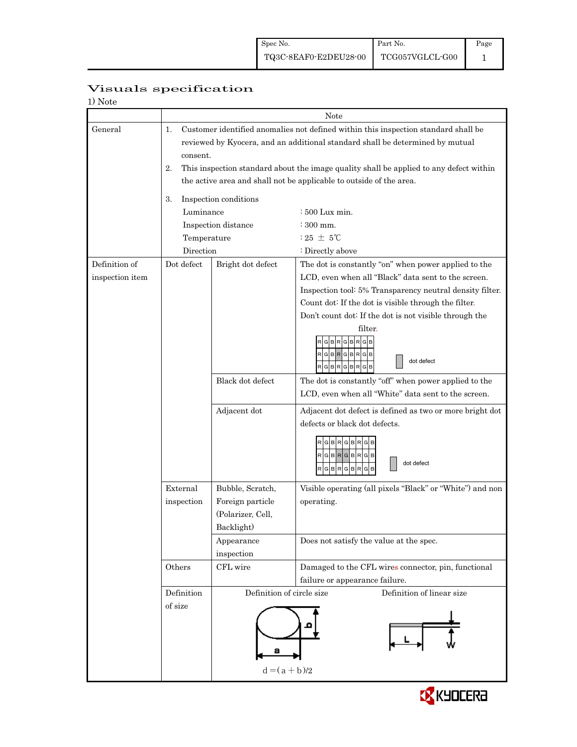| 1) Note         |             |                                               |                                                                                        |
|-----------------|-------------|-----------------------------------------------|----------------------------------------------------------------------------------------|
|                 |             |                                               | Note                                                                                   |
| General         | 1.          |                                               | Customer identified anomalies not defined within this inspection standard shall be     |
|                 |             |                                               | reviewed by Kyocera, and an additional standard shall be determined by mutual          |
|                 | consent.    |                                               |                                                                                        |
|                 | 2.          |                                               | This inspection standard about the image quality shall be applied to any defect within |
|                 |             |                                               | the active area and shall not be applicable to outside of the area.                    |
|                 | 3.          | Inspection conditions                         |                                                                                        |
|                 | Luminance   |                                               | $:500$ Lux min.                                                                        |
|                 |             | Inspection distance                           | $\approx 300$ mm.                                                                      |
|                 | Temperature |                                               | $:25 \pm 5^{\circ}$ C                                                                  |
|                 | Direction   |                                               | : Directly above                                                                       |
| Definition of   | Dot defect  | Bright dot defect                             | The dot is constantly "on" when power applied to the                                   |
| inspection item |             |                                               | LCD, even when all "Black" data sent to the screen.                                    |
|                 |             |                                               | Inspection tool: 5% Transparency neutral density filter.                               |
|                 |             |                                               | Count dot: If the dot is visible through the filter.                                   |
|                 |             |                                               | Don't count dot: If the dot is not visible through the                                 |
|                 |             |                                               | filter.                                                                                |
|                 |             |                                               | R G B R G B R G B                                                                      |
|                 |             |                                               | RGBRGBRGB<br>dot defect                                                                |
|                 |             |                                               | RGBRGBR                                                                                |
|                 |             | Black dot defect                              | The dot is constantly "off" when power applied to the                                  |
|                 |             |                                               | LCD, even when all "White" data sent to the screen.                                    |
|                 |             | Adjacent dot                                  | Adjacent dot defect is defined as two or more bright dot                               |
|                 |             |                                               | defects or black dot defects.                                                          |
|                 |             |                                               | R G B R G B R G B                                                                      |
|                 |             |                                               | RGBRGBRGB                                                                              |
|                 |             |                                               | dot defect<br><b>BRGBR</b><br>G<br>G<br>в                                              |
|                 | External    | Bubble, Scratch,                              | Visible operating (all pixels "Black" or "White") and non                              |
|                 | inspection  | Foreign particle                              | operating.                                                                             |
|                 |             | (Polarizer, Cell,                             |                                                                                        |
|                 |             | Backlight)                                    |                                                                                        |
|                 |             | Appearance                                    | Does not satisfy the value at the spec.                                                |
|                 |             | $\operatorname{in}_{\operatorname{spection}}$ |                                                                                        |
|                 | Others      | CFL wire                                      | Damaged to the CFL wires connector, pin, functional                                    |
|                 |             |                                               | failure or appearance failure.                                                         |
|                 | Definition  | Definition of circle size                     | Definition of linear size                                                              |
|                 | of size     |                                               |                                                                                        |
|                 |             |                                               |                                                                                        |
|                 |             |                                               |                                                                                        |
|                 |             |                                               |                                                                                        |
|                 |             |                                               |                                                                                        |
|                 |             | $d = (a + b)/2$                               |                                                                                        |

# Visuals specification

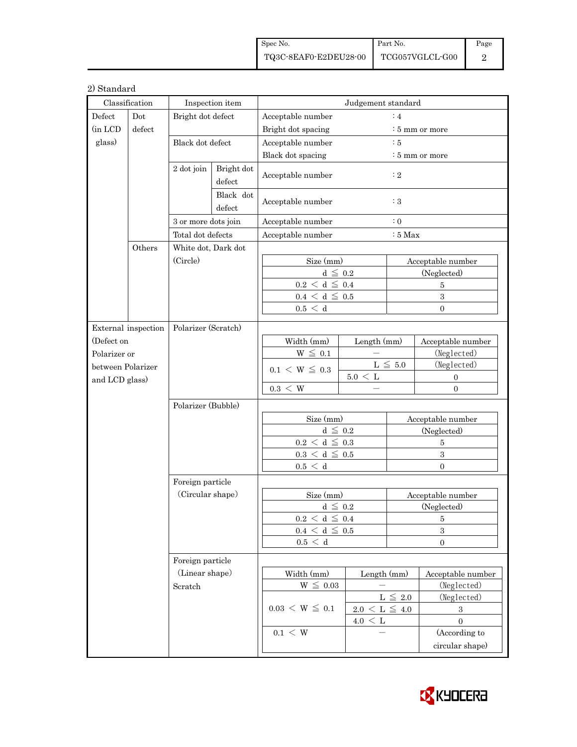| Spec No.              | Part No.        | Page |
|-----------------------|-----------------|------|
| TQ3C-8EAF0-E2DEU28-00 | TCG057VGLCL-G00 |      |

#### 2) Standard

| Classification    |                     | Inspection item                               |                   | Judgement standard                            |                          |                   |                         |  |
|-------------------|---------------------|-----------------------------------------------|-------------------|-----------------------------------------------|--------------------------|-------------------|-------------------------|--|
| Defect<br>Dot     |                     | Bright dot defect                             |                   | Acceptable number<br>:4                       |                          |                   |                         |  |
| (in LCD           | defect              |                                               |                   | Bright dot spacing<br>$:5 \text{ mm}$ or more |                          |                   |                         |  |
| glass)            |                     | Black dot defect                              |                   | Acceptable number<br>:5                       |                          |                   |                         |  |
|                   |                     |                                               |                   | Black dot spacing                             |                          |                   | $:5 \text{ mm}$ or more |  |
| 2 dot join        |                     | Bright dot<br>defect                          |                   | Acceptable number                             |                          | : 2               |                         |  |
|                   |                     | Black dot<br>defect                           | Acceptable number |                                               | :3                       |                   |                         |  |
|                   |                     | 3 or more dots join                           |                   | : 0<br>Acceptable number                      |                          |                   |                         |  |
|                   |                     |                                               |                   | Acceptable number<br>$:5$ Max                 |                          |                   |                         |  |
| Others            |                     | Total dot defects                             |                   |                                               |                          |                   |                         |  |
|                   |                     | White dot, Dark dot<br>(Circle)               |                   |                                               |                          |                   |                         |  |
|                   |                     |                                               |                   | Size (mm)<br>$d\,\leq\,0.2$                   |                          | Acceptable number |                         |  |
|                   |                     |                                               |                   | $0.2\,<\,\mathrm{d}\,\leq\,0.4$               |                          | (Neglected)<br>5  |                         |  |
|                   |                     |                                               |                   |                                               | $0.4 \leq d \leq 0.5$    |                   | 3                       |  |
|                   |                     |                                               |                   | 0.5 < d                                       |                          |                   | $\Omega$                |  |
|                   |                     |                                               |                   |                                               |                          |                   |                         |  |
|                   | External inspection | Polarizer (Scratch)                           |                   |                                               |                          |                   |                         |  |
| (Defect on        |                     |                                               |                   | Width (mm)                                    | Length (mm)              |                   | Acceptable number       |  |
| Polarizer or      |                     |                                               |                   | $W \leq 0.1$                                  |                          |                   | (Neglected)             |  |
| between Polarizer |                     |                                               |                   | $0.1 \le W \le 0.3$                           |                          | L $\leqq~5.0$     | (Neglected)             |  |
| and LCD glass)    |                     |                                               |                   |                                               | $5.0 \, < \, \mathrm{L}$ |                   | $\mathbf{0}$            |  |
|                   |                     |                                               |                   | $0.3\,<\,W$                                   |                          |                   | $\overline{0}$          |  |
|                   |                     | Polarizer (Bubble)                            |                   |                                               |                          |                   |                         |  |
|                   |                     |                                               |                   | Size (mm)                                     |                          | Acceptable number |                         |  |
|                   |                     |                                               |                   | $d\,\leq\,0.2$                                |                          | (Neglected)       |                         |  |
|                   |                     |                                               |                   | $0.2\,<\,\mathrm{d}\,\leq\,0.3$               |                          | 5                 |                         |  |
|                   |                     |                                               |                   | $0.3 \leq d \leq 0.5$                         |                          | $\mathbf{3}$      |                         |  |
|                   |                     |                                               |                   | 0.5 < d                                       |                          |                   | $\Omega$                |  |
|                   |                     | Foreign particle                              |                   |                                               |                          |                   |                         |  |
|                   |                     | (Circular shape)                              |                   | Size (mm)                                     |                          | Acceptable number |                         |  |
|                   |                     |                                               |                   | $d \leq 0.2$                                  |                          | (Neglected)       |                         |  |
|                   |                     |                                               |                   | $0.2 < d \leq 0.4$                            |                          | 5                 |                         |  |
|                   |                     |                                               |                   | $0.4 \leq d \leq 0.5$                         |                          | $\boldsymbol{3}$  |                         |  |
|                   |                     |                                               |                   | 0.5 < d                                       |                          | $\overline{0}$    |                         |  |
|                   |                     | Foreign particle<br>(Linear shape)<br>Scratch |                   |                                               |                          |                   |                         |  |
|                   |                     |                                               |                   | Width (mm)                                    | Length (mm)              |                   | Acceptable number       |  |
|                   |                     |                                               |                   | $W \leq 0.03$                                 |                          |                   | (Neglected)             |  |
|                   |                     |                                               |                   | $0.03 \le W \le 0.1$                          | $L \leq 2.0$             |                   | (Neglected)             |  |
|                   |                     |                                               |                   |                                               | $2.0 \le L \le 4.0$      |                   | 3                       |  |
|                   |                     |                                               |                   |                                               | $4.0 \leq L$             |                   | $\mathbf{0}$            |  |
|                   |                     |                                               |                   | $0.1\,<\,\mathrm{W}$                          |                          |                   | (According to           |  |
|                   |                     |                                               |                   |                                               |                          |                   | circular shape)         |  |
|                   |                     |                                               |                   |                                               |                          |                   |                         |  |